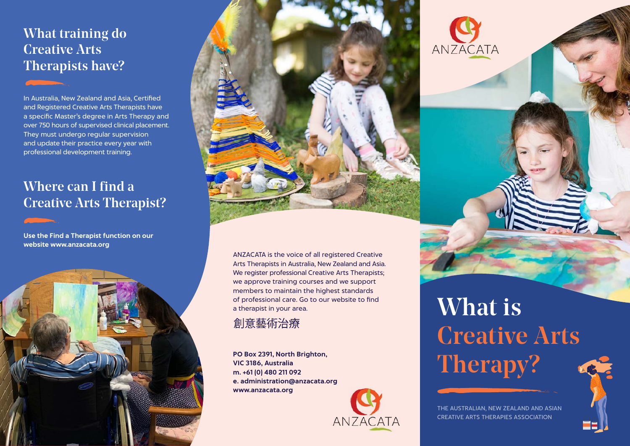### What training do Creative Arts Therapists have?

In Australia, New Zealand and Asia, Certified and Registered Creative Arts Therapists have a specific Master's degree in Arts Therapy and over 750 hours of supervised clinical placement. They must undergo regular supervision and update their practice every year with professional development training.

### Where can I find a Creative Arts Therapist?

**Use the Find a Therapist function on our website www.anzacata.org**





ANZACATA is the voice of all registered Creative Arts Therapists in Australia, New Zealand and Asia. We register professional Creative Arts Therapists; we approve training courses and we support members to maintain the highest standards of professional care. Go to our website to find a therapist in your area.

#### 創意藝術治療

**PO Box 2391, North Brighton, VIC 3186, Australia m. +61 (0) 480 211 092 e. administration@anzacata.org www.anzacata.org** 



# What is Creative Arts Therapy?



THE AUSTRALIAN, NEW ZEALAND AND ASIAN CREATIVE ARTS THERAPIES ASSOCIATION